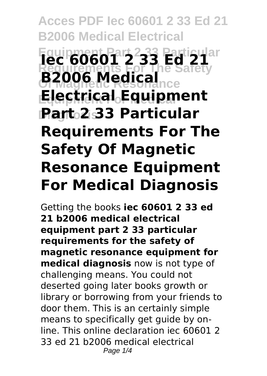# **Acces PDF Iec 60601 2 33 Ed 21 B2006 Medical Electrical Equipment Part 2 33 Particular Iec 60601 2 33 Ed 21 Requirements For The Safety Of Magnetic Resonance B2006 Medical Equipment For Medical Electrical Equipment Diagnosis Part 2 33 Particular Requirements For The Safety Of Magnetic Resonance Equipment For Medical Diagnosis**

Getting the books **iec 60601 2 33 ed 21 b2006 medical electrical equipment part 2 33 particular requirements for the safety of magnetic resonance equipment for medical diagnosis** now is not type of challenging means. You could not deserted going later books growth or library or borrowing from your friends to door them. This is an certainly simple means to specifically get guide by online. This online declaration iec 60601 2 33 ed 21 b2006 medical electrical Page  $1/4$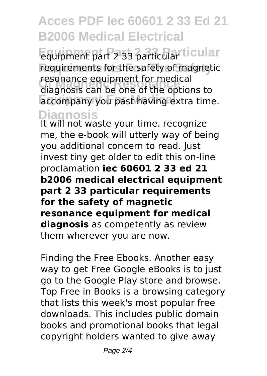## **Acces PDF Iec 60601 2 33 Ed 21 B2006 Medical Electrical**

**Equipment Part 2 33 Particular** equipment part 2 33 particular **Requirements For The Safety** requirements for the safety of magnetic **Of Magnetic Resonance** diagnosis can be one of the options to accompany you past having extra time. resonance equipment for medical

**Diagnosis** It will not waste your time. recognize me, the e-book will utterly way of being you additional concern to read. Just invest tiny get older to edit this on-line proclamation **iec 60601 2 33 ed 21 b2006 medical electrical equipment part 2 33 particular requirements for the safety of magnetic resonance equipment for medical diagnosis** as competently as review them wherever you are now.

Finding the Free Ebooks. Another easy way to get Free Google eBooks is to just go to the Google Play store and browse. Top Free in Books is a browsing category that lists this week's most popular free downloads. This includes public domain books and promotional books that legal copyright holders wanted to give away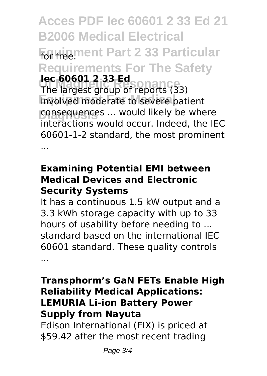**Acces PDF Iec 60601 2 33 Ed 21 B2006 Medical Electrical For free.ment Part 2 33 Particular Requirements For The Safety The largest group of reports (33) Involved moderate to severe patient** consequences ... would likely be where **Iec 60601 2 33 Ed** interactions would occur. Indeed, the IEC 60601-1-2 standard, the most prominent ...

### **Examining Potential EMI between Medical Devices and Electronic Security Systems**

It has a continuous 1.5 kW output and a 3.3 kWh storage capacity with up to 33 hours of usability before needing to ... standard based on the international IEC 60601 standard. These quality controls ...

### **Transphorm's GaN FETs Enable High Reliability Medical Applications: LEMURIA Li-ion Battery Power Supply from Nayuta**

Edison International (EIX) is priced at \$59.42 after the most recent trading